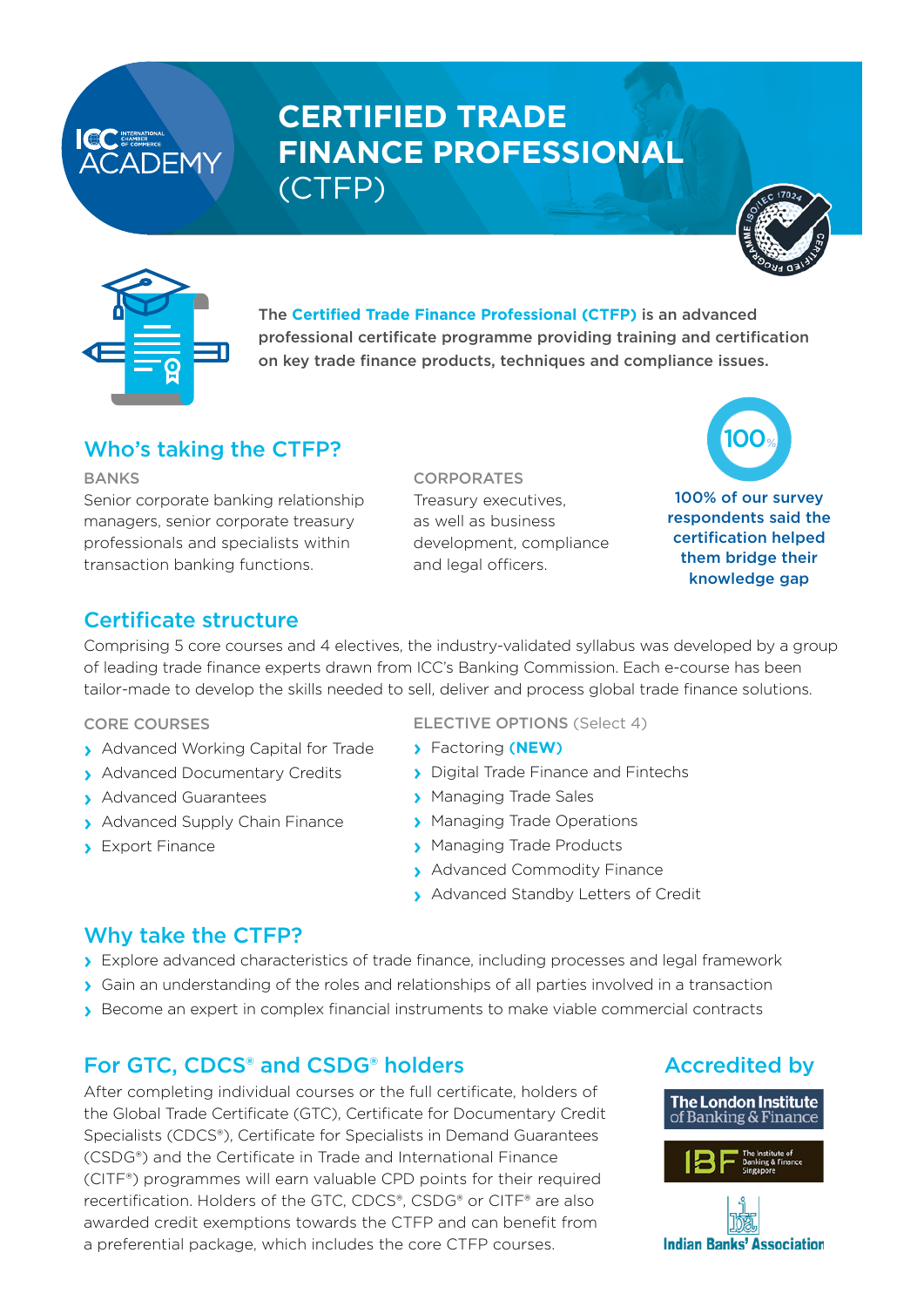# **CERTIFIED TRADE FINANCE PROFESSIONAL**  (CTFP)







The **Certified Trade Finance Professional (CTFP)** is an advanced professional certificate programme providing training and certification on key trade finance products, techniques and compliance issues.

## Who's taking the CTFP?

BANKS

Senior corporate banking relationship managers, senior corporate treasury professionals and specialists within transaction banking functions.

CORPORATES Treasury executives, as well as business development, compliance and legal officers.



## Certificate structure

Comprising 5 core courses and 4 electives, the industry-validated syllabus was developed by a group of leading trade finance experts drawn from ICC's Banking Commission. Each e-course has been tailor-made to develop the skills needed to sell, deliver and process global trade finance solutions.

CORE COURSES

- › Advanced Working Capital for Trade
- › Advanced Documentary Credits
- › Advanced Guarantees
- › Advanced Supply Chain Finance
- › Export Finance

ELECTIVE OPTIONS (Select 4)

- › Factoring (**NEW**)
- › Digital Trade Finance and Fintechs
- › Managing Trade Sales
- › Managing Trade Operations
- › Managing Trade Products
- › Advanced Commodity Finance
- › Advanced Standby Letters of Credit

## Why take the CTFP?

- › Explore advanced characteristics of trade finance, including processes and legal framework
- › Gain an understanding of the roles and relationships of all parties involved in a transaction
- › Become an expert in complex financial instruments to make viable commercial contracts

## For GTC, CDCS® and CSDG® holders

After completing individual courses or the full certificate, holders of the Global Trade Certificate (GTC), Certificate for Documentary Credit Specialists (CDCS®), Certificate for Specialists in Demand Guarantees (CSDG®) and the Certificate in Trade and International Finance (CITF®) programmes will earn valuable CPD points for their required recertification. Holders of the GTC, CDCS®, CSDG® or CITF® are also awarded credit exemptions towards the CTFP and can benefit from a preferential package, which includes the core CTFP courses.

## Accredited by



**Indian Banks' Association**